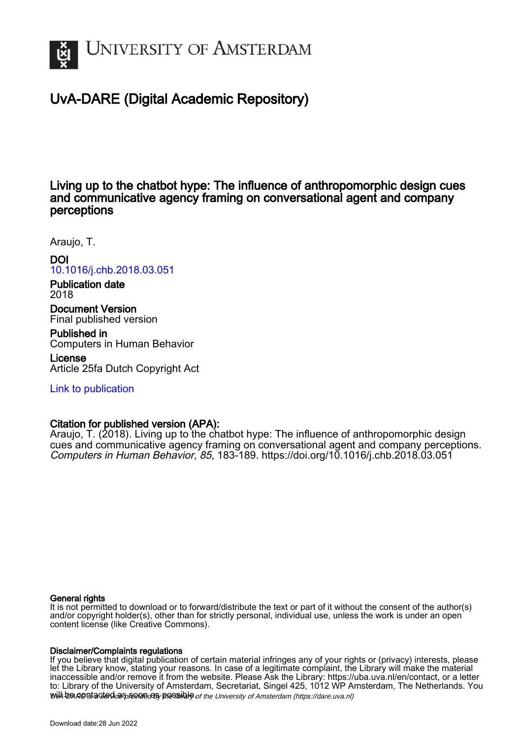

# UvA-DARE (Digital Academic Repository)

Living up to the chatbot hype: The influence of anthropomorphic design cues and communicative agency framing on conversational agent and company perceptions

Araujo, T.

DOI [10.1016/j.chb.2018.03.051](https://doi.org/10.1016/j.chb.2018.03.051) Publication date 2018 Document Version Final published version

Published in Computers in Human Behavior

License Article 25fa Dutch Copyright Act

[Link to publication](https://dare.uva.nl/personal/pure/en/publications/living-up-to-the-chatbot-hype-the-influence-of-anthropomorphic-design-cues-and-communicative-agency-framing-on-conversational-agent-and-company-perceptions(c2ecbc88-290d-44fb-8f63-6f7832abe802).html)

# Citation for published version (APA):

Araujo, T. (2018). Living up to the chatbot hype: The influence of anthropomorphic design cues and communicative agency framing on conversational agent and company perceptions. Computers in Human Behavior, 85, 183-189.<https://doi.org/10.1016/j.chb.2018.03.051>

# General rights

It is not permitted to download or to forward/distribute the text or part of it without the consent of the author(s) and/or copyright holder(s), other than for strictly personal, individual use, unless the work is under an open content license (like Creative Commons).

# Disclaimer/Complaints regulations

will be contacted as sontacty pessible of the University of Amsterdam (https://dare.uva.nl) If you believe that digital publication of certain material infringes any of your rights or (privacy) interests, please let the Library know, stating your reasons. In case of a legitimate complaint, the Library will make the material inaccessible and/or remove it from the website. Please Ask the Library: https://uba.uva.nl/en/contact, or a letter to: Library of the University of Amsterdam, Secretariat, Singel 425, 1012 WP Amsterdam, The Netherlands. You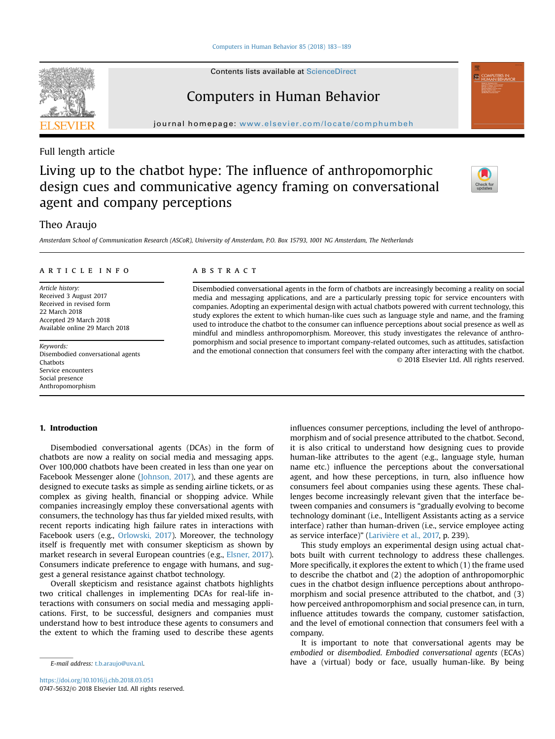[Computers in Human Behavior 85 \(2018\) 183](https://doi.org/10.1016/j.chb.2018.03.051)-[189](https://doi.org/10.1016/j.chb.2018.03.051)

Contents lists available at ScienceDirect

# Computers in Human Behavior

journal homepage: <www.elsevier.com/locate/comphumbeh>

# Full length article

# Living up to the chatbot hype: The influence of anthropomorphic design cues and communicative agency framing on conversational agent and company perceptions



# Theo Araujo

Amsterdam School of Communication Research (ASCoR), University of Amsterdam, P.O. Box 15793, 1001 NG Amsterdam, The Netherlands

#### article info

Article history: Received 3 August 2017 Received in revised form 22 March 2018 Accepted 29 March 2018 Available online 29 March 2018

Keywords: Disembodied conversational agents Chatbots Service encounters Social presence Anthropomorphism

#### **ABSTRACT**

Disembodied conversational agents in the form of chatbots are increasingly becoming a reality on social media and messaging applications, and are a particularly pressing topic for service encounters with companies. Adopting an experimental design with actual chatbots powered with current technology, this study explores the extent to which human-like cues such as language style and name, and the framing used to introduce the chatbot to the consumer can influence perceptions about social presence as well as mindful and mindless anthropomorphism. Moreover, this study investigates the relevance of anthropomorphism and social presence to important company-related outcomes, such as attitudes, satisfaction and the emotional connection that consumers feel with the company after interacting with the chatbot. © 2018 Elsevier Ltd. All rights reserved.

# 1. Introduction

Disembodied conversational agents (DCAs) in the form of chatbots are now a reality on social media and messaging apps. Over 100,000 chatbots have been created in less than one year on Facebook Messenger alone [\(Johnson, 2017\)](#page-7-0), and these agents are designed to execute tasks as simple as sending airline tickets, or as complex as giving health, financial or shopping advice. While companies increasingly employ these conversational agents with consumers, the technology has thus far yielded mixed results, with recent reports indicating high failure rates in interactions with Facebook users (e.g., [Orlowski, 2017](#page-7-0)). Moreover, the technology itself is frequently met with consumer skepticism as shown by market research in several European countries (e.g., [Elsner, 2017\)](#page-6-0). Consumers indicate preference to engage with humans, and suggest a general resistance against chatbot technology.

Overall skepticism and resistance against chatbots highlights two critical challenges in implementing DCAs for real-life interactions with consumers on social media and messaging applications. First, to be successful, designers and companies must understand how to best introduce these agents to consumers and the extent to which the framing used to describe these agents

influences consumer perceptions, including the level of anthropomorphism and of social presence attributed to the chatbot. Second, it is also critical to understand how designing cues to provide human-like attributes to the agent (e.g., language style, human name etc.) influence the perceptions about the conversational agent, and how these perceptions, in turn, also influence how consumers feel about companies using these agents. These challenges become increasingly relevant given that the interface between companies and consumers is "gradually evolving to become technology dominant (i.e., Intelligent Assistants acting as a service interface) rather than human-driven (i.e., service employee acting as service interface)" (Larivière et al., 2017, p. 239).

This study employs an experimental design using actual chatbots built with current technology to address these challenges. More specifically, it explores the extent to which (1) the frame used to describe the chatbot and (2) the adoption of anthropomorphic cues in the chatbot design influence perceptions about anthropomorphism and social presence attributed to the chatbot, and (3) how perceived anthropomorphism and social presence can, in turn, influence attitudes towards the company, customer satisfaction, and the level of emotional connection that consumers feel with a company.

It is important to note that conversational agents may be embodied or disembodied. Embodied conversational agents (ECAs) E-mail address: [t.b.araujo@uva.nl.](mailto:t.b.araujo@uva.nl) have a (virtual) body or face, usually human-like. By being

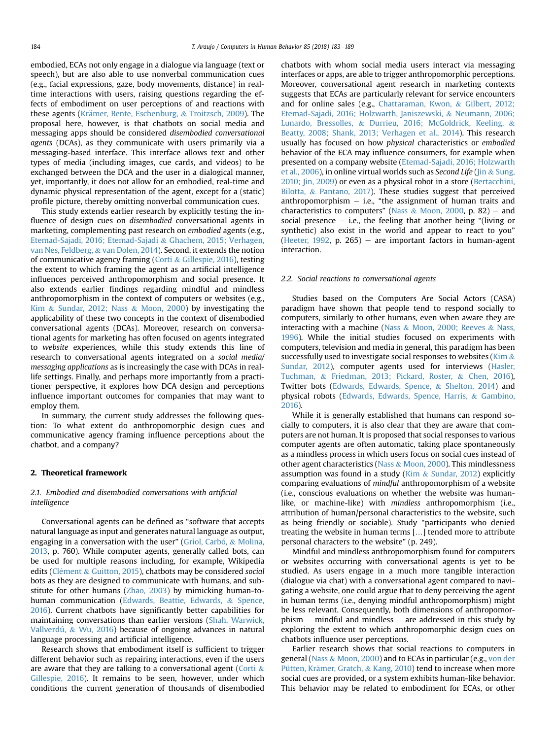embodied, ECAs not only engage in a dialogue via language (text or speech), but are also able to use nonverbal communication cues (e.g., facial expressions, gaze, body movements, distance) in realtime interactions with users, raising questions regarding the effects of embodiment on user perceptions of and reactions with these agents ([Kr](#page-7-0)ä[mer, Bente, Eschenburg,](#page-7-0) & [Troitzsch, 2009](#page-7-0)). The proposal here, however, is that chatbots on social media and messaging apps should be considered disembodied conversational agents (DCAs), as they communicate with users primarily via a messaging-based interface. This interface allows text and other types of media (including images, cue cards, and videos) to be exchanged between the DCA and the user in a dialogical manner, yet, importantly, it does not allow for an embodied, real-time and dynamic physical representation of the agent, except for a (static) profile picture, thereby omitting nonverbal communication cues.

This study extends earlier research by explicitly testing the influence of design cues on disembodied conversational agents in marketing, complementing past research on embodied agents (e.g., [Etemad-Sajadi, 2016; Etemad-Sajadi](#page-6-0) & [Ghachem, 2015; Verhagen,](#page-6-0) [van Nes, Feldberg,](#page-6-0) & [van Dolen, 2014](#page-6-0)). Second, it extends the notion of communicative agency framing ([Corti](#page-6-0) & [Gillespie, 2016\)](#page-6-0), testing the extent to which framing the agent as an artificial intelligence influences perceived anthropomorphism and social presence. It also extends earlier findings regarding mindful and mindless anthropomorphism in the context of computers or websites (e.g., [Kim](#page-7-0) & [Sundar, 2012; Nass](#page-7-0) & [Moon, 2000\)](#page-7-0) by investigating the applicability of these two concepts in the context of disembodied conversational agents (DCAs). Moreover, research on conversational agents for marketing has often focused on agents integrated to website experiences, while this study extends this line of research to conversational agents integrated on a social media/ messaging applications as is increasingly the case with DCAs in reallife settings. Finally, and perhaps more importantly from a practitioner perspective, it explores how DCA design and perceptions influence important outcomes for companies that may want to employ them.

In summary, the current study addresses the following question: To what extent do anthropomorphic design cues and communicative agency framing influence perceptions about the chatbot, and a company?

# 2. Theoretical framework

# 2.1. Embodied and disembodied conversations with artificial intelligence

Conversational agents can be defined as "software that accepts natural language as input and generates natural language as output, engaging in a conversation with the user" (Griol, Carbó,  $\&$  [Molina,](#page-7-0) [2013](#page-7-0), p. 760). While computer agents, generally called bots, can be used for multiple reasons including, for example, Wikipedia edits (Clément & [Guitton, 2015](#page-6-0)), chatbots may be considered social bots as they are designed to communicate with humans, and substitute for other humans ([Zhao, 2003](#page-7-0)) by mimicking human-tohuman communication ([Edwards, Beattie, Edwards,](#page-6-0) & [Spence,](#page-6-0) [2016](#page-6-0)). Current chatbots have significantly better capabilities for maintaining conversations than earlier versions [\(Shah, Warwick,](#page-7-0) [Vallverdú,](#page-7-0) & [Wu, 2016\)](#page-7-0) because of ongoing advances in natural language processing and artificial intelligence.

Research shows that embodiment itself is sufficient to trigger different behavior such as repairing interactions, even if the users are aware that they are talking to a conversational agent [\(Corti](#page-6-0)  $\&$ [Gillespie, 2016](#page-6-0)). It remains to be seen, however, under which conditions the current generation of thousands of disembodied chatbots with whom social media users interact via messaging interfaces or apps, are able to trigger anthropomorphic perceptions. Moreover, conversational agent research in marketing contexts suggests that ECAs are particularly relevant for service encounters and for online sales (e.g., [Chattaraman, Kwon,](#page-6-0) & [Gilbert, 2012;](#page-6-0) [Etemad-Sajadi, 2016; Holzwarth, Janiszewski,](#page-6-0) & [Neumann, 2006;](#page-6-0) [Lunardo, Bressolles,](#page-6-0) & [Durrieu, 2016; McGoldrick, Keeling,](#page-6-0) & [Beatty, 2008; Shank, 2013; Verhagen et al., 2014](#page-6-0)). This research usually has focused on how physical characteristics or embodied behavior of the ECA may influence consumers, for example when presented on a company website [\(Etemad-Sajadi, 2016; Holzwarth](#page-6-0) [et al., 2006\)](#page-6-0), in online virtual worlds such as Second Life [\(Jin](#page-7-0) & [Sung,](#page-7-0) [2010; Jin, 2009\)](#page-7-0) or even as a physical robot in a store ([Bertacchini,](#page-6-0) [Bilotta,](#page-6-0) & [Pantano, 2017\)](#page-6-0). These studies suggest that perceived anthropomorphism  $-$  i.e., "the assignment of human traits and characteristics to computers" [\(Nass](#page-7-0) & [Moon, 2000,](#page-7-0) p. 82) – and social presence  $-$  i.e., the feeling that another being "(living or synthetic) also exist in the world and appear to react to you" ([Heeter, 1992,](#page-7-0) p. 265) – are important factors in human-agent interaction.

#### 2.2. Social reactions to conversational agents

Studies based on the Computers Are Social Actors (CASA) paradigm have shown that people tend to respond socially to computers, similarly to other humans, even when aware they are interacting with a machine [\(Nass](#page-7-0) & [Moon, 2000; Reeves](#page-7-0) & [Nass,](#page-7-0) [1996](#page-7-0)). While the initial studies focused on experiments with computers, television and media in general, this paradigm has been successfully used to investigate social responses to websites ( $\overline{\text{Kim }\&}$ [Sundar, 2012](#page-7-0)), computer agents used for interviews [\(Hasler,](#page-7-0) [Tuchman,](#page-7-0) & [Friedman, 2013; Pickard, Roster,](#page-7-0) & [Chen, 2016\)](#page-7-0), Twitter bots [\(Edwards, Edwards, Spence,](#page-6-0) & [Shelton, 2014](#page-6-0)) and physical robots [\(Edwards, Edwards, Spence, Harris,](#page-6-0) & [Gambino,](#page-6-0) [2016\)](#page-6-0).

While it is generally established that humans can respond socially to computers, it is also clear that they are aware that computers are not human. It is proposed that social responses to various computer agents are often automatic, taking place spontaneously as a mindless process in which users focus on social cues instead of other agent characteristics ([Nass](#page-7-0) & [Moon, 2000](#page-7-0)). This mindlessness assumption was found in a study [\(Kim](#page-7-0)  $&$  [Sundar, 2012](#page-7-0)) explicitly comparing evaluations of mindful anthropomorphism of a website (i.e., conscious evaluations on whether the website was humanlike, or machine-like) with mindless anthropomorphism (i.e., attribution of human/personal characteristics to the website, such as being friendly or sociable). Study "participants who denied treating the website in human terms […] tended more to attribute personal characters to the website" (p. 249).

Mindful and mindless anthropomorphism found for computers or websites occurring with conversational agents is yet to be studied. As users engage in a much more tangible interaction (dialogue via chat) with a conversational agent compared to navigating a website, one could argue that to deny perceiving the agent in human terms (i.e., denying mindful anthropomorphism) might be less relevant. Consequently, both dimensions of anthropomor $phism$  – mindful and mindless – are addressed in this study by exploring the extent to which anthropomorphic design cues on chatbots influence user perceptions.

Earlier research shows that social reactions to computers in general ([Nass](#page-7-0) & [Moon, 2000](#page-7-0)) and to ECAs in particular (e.g., [von der](#page-7-0) Pütten, Krämer, Gratch, & [Kang, 2010\)](#page-7-0) tend to increase when more social cues are provided, or a system exhibits human-like behavior. This behavior may be related to embodiment for ECAs, or other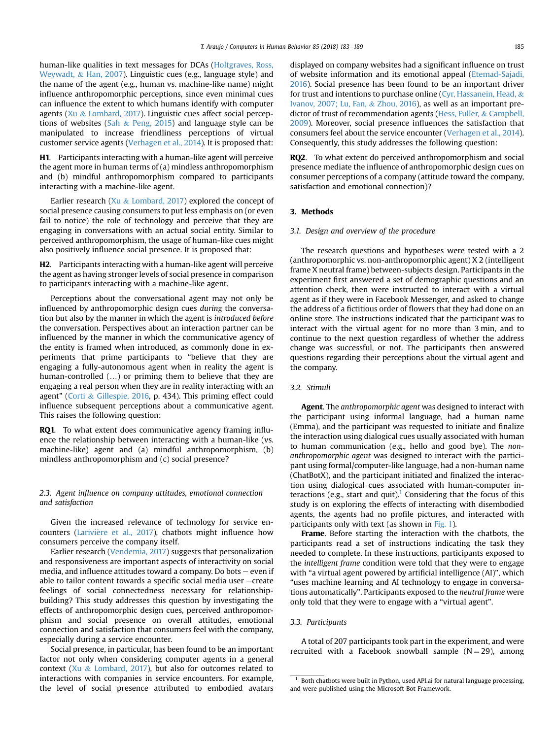human-like qualities in text messages for DCAs ([Holtgraves, Ross,](#page-7-0) [Weywadt,](#page-7-0) & [Han, 2007\)](#page-7-0). Linguistic cues (e.g., language style) and the name of the agent (e.g., human vs. machine-like name) might influence anthropomorphic perceptions, since even minimal cues can influence the extent to which humans identify with computer agents ([Xu](#page-7-0) & [Lombard, 2017](#page-7-0)). Linguistic cues affect social percep-tions of websites [\(Sah](#page-7-0)  $\&$  [Peng, 2015\)](#page-7-0) and language style can be manipulated to increase friendliness perceptions of virtual customer service agents ([Verhagen et al., 2014\)](#page-7-0). It is proposed that:

H1. Participants interacting with a human-like agent will perceive the agent more in human terms of (a) mindless anthropomorphism and (b) mindful anthropomorphism compared to participants interacting with a machine-like agent.

Earlier research [\(Xu](#page-7-0)  $&$  [Lombard, 2017](#page-7-0)) explored the concept of social presence causing consumers to put less emphasis on (or even fail to notice) the role of technology and perceive that they are engaging in conversations with an actual social entity. Similar to perceived anthropomorphism, the usage of human-like cues might also positively influence social presence. It is proposed that:

H2. Participants interacting with a human-like agent will perceive the agent as having stronger levels of social presence in comparison to participants interacting with a machine-like agent.

Perceptions about the conversational agent may not only be influenced by anthropomorphic design cues during the conversation but also by the manner in which the agent is introduced before the conversation. Perspectives about an interaction partner can be influenced by the manner in which the communicative agency of the entity is framed when introduced, as commonly done in experiments that prime participants to "believe that they are engaging a fully-autonomous agent when in reality the agent is human-controlled (…) or priming them to believe that they are engaging a real person when they are in reality interacting with an agent" [\(Corti](#page-6-0) & [Gillespie, 2016,](#page-6-0) p. 434). This priming effect could influence subsequent perceptions about a communicative agent. This raises the following question:

RQ1. To what extent does communicative agency framing influence the relationship between interacting with a human-like (vs. machine-like) agent and (a) mindful anthropomorphism, (b) mindless anthropomorphism and (c) social presence?

2.3. Agent influence on company attitudes, emotional connection and satisfaction

Given the increased relevance of technology for service encounters (Larivière et al., 2017), chatbots might influence how consumers perceive the company itself.

Earlier research [\(Vendemia, 2017\)](#page-7-0) suggests that personalization and responsiveness are important aspects of interactivity on social media, and influence attitudes toward a company. Do bots  $-$  even if able to tailor content towards a specific social media user  $-$ create feelings of social connectedness necessary for relationshipbuilding? This study addresses this question by investigating the effects of anthropomorphic design cues, perceived anthropomorphism and social presence on overall attitudes, emotional connection and satisfaction that consumers feel with the company, especially during a service encounter.

Social presence, in particular, has been found to be an important factor not only when considering computer agents in a general context [\(Xu](#page-7-0) & [Lombard, 2017](#page-7-0)), but also for outcomes related to interactions with companies in service encounters. For example, the level of social presence attributed to embodied avatars

displayed on company websites had a significant influence on trust of website information and its emotional appeal [\(Etemad-Sajadi,](#page-6-0) [2016\)](#page-6-0). Social presence has been found to be an important driver for trust and intentions to purchase online [\(Cyr, Hassanein, Head,](#page-6-0) & [Ivanov, 2007; Lu, Fan,](#page-6-0) & [Zhou, 2016](#page-6-0)), as well as an important predictor of trust of recommendation agents [\(Hess, Fuller,](#page-7-0) & [Campbell,](#page-7-0) [2009\)](#page-7-0). Moreover, social presence influences the satisfaction that consumers feel about the service encounter ([Verhagen et al., 2014\)](#page-7-0). Consequently, this study addresses the following question:

RQ2. To what extent do perceived anthropomorphism and social presence mediate the influence of anthropomorphic design cues on consumer perceptions of a company (attitude toward the company, satisfaction and emotional connection)?

# 3. Methods

# 3.1. Design and overview of the procedure

The research questions and hypotheses were tested with a 2 (anthropomorphic vs. non-anthropomorphic agent) X 2 (intelligent frame X neutral frame) between-subjects design. Participants in the experiment first answered a set of demographic questions and an attention check, then were instructed to interact with a virtual agent as if they were in Facebook Messenger, and asked to change the address of a fictitious order of flowers that they had done on an online store. The instructions indicated that the participant was to interact with the virtual agent for no more than 3 min, and to continue to the next question regardless of whether the address change was successful, or not. The participants then answered questions regarding their perceptions about the virtual agent and the company.

# 3.2. Stimuli

Agent. The anthropomorphic agent was designed to interact with the participant using informal language, had a human name (Emma), and the participant was requested to initiate and finalize the interaction using dialogical cues usually associated with human to human communication (e.g., hello and good bye). The nonanthropomorphic agent was designed to interact with the participant using formal/computer-like language, had a non-human name (ChatBotX), and the participant initiated and finalized the interaction using dialogical cues associated with human-computer interactions (e.g., start and quit).<sup>1</sup> Considering that the focus of this study is on exploring the effects of interacting with disembodied agents, the agents had no profile pictures, and interacted with participants only with text (as shown in [Fig. 1\)](#page-4-0).

Frame. Before starting the interaction with the chatbots, the participants read a set of instructions indicating the task they needed to complete. In these instructions, participants exposed to the intelligent frame condition were told that they were to engage with "a virtual agent powered by artificial intelligence (AI)", which "uses machine learning and AI technology to engage in conversations automatically". Participants exposed to the neutral frame were only told that they were to engage with a "virtual agent".

# 3.3. Participants

A total of 207 participants took part in the experiment, and were recruited with a Facebook snowball sample  $(N = 29)$ , among

 $1$  Both chatbots were built in Python, used API.ai for natural language processing, and were published using the Microsoft Bot Framework.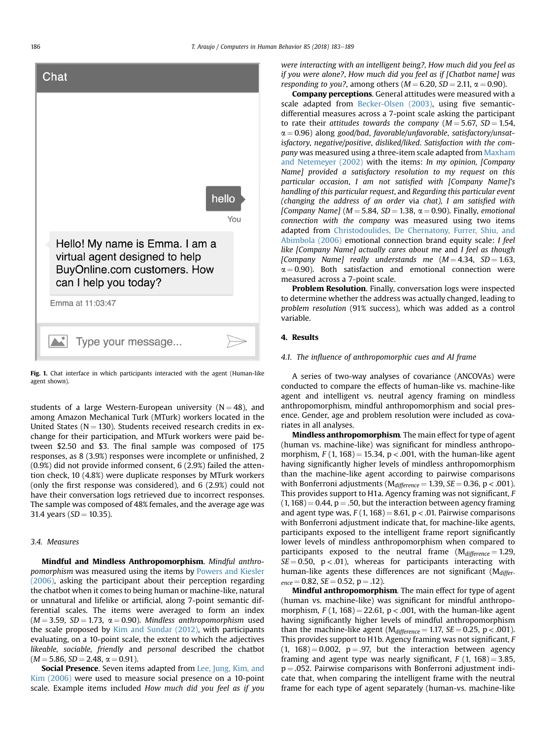<span id="page-4-0"></span>

Fig. 1. Chat interface in which participants interacted with the agent (Human-like agent shown).

students of a large Western-European university ( $N = 48$ ), and among Amazon Mechanical Turk (MTurk) workers located in the United States ( $N = 130$ ). Students received research credits in exchange for their participation, and MTurk workers were paid between \$2.50 and \$3. The final sample was composed of 175 responses, as 8 (3.9%) responses were incomplete or unfinished, 2 (0.9%) did not provide informed consent, 6 (2.9%) failed the attention check, 10 (4.8%) were duplicate responses by MTurk workers (only the first response was considered), and 6 (2.9%) could not have their conversation logs retrieved due to incorrect responses. The sample was composed of 48% females, and the average age was 31.4 years ( $SD = 10.35$ ).

## 3.4. Measures

Mindful and Mindless Anthropomorphism. Mindful anthropomorphism was measured using the items by [Powers and Kiesler](#page-7-0) [\(2006\)](#page-7-0), asking the participant about their perception regarding the chatbot when it comes to being human or machine-like, natural or unnatural and lifelike or artificial, along 7-point semantic differential scales. The items were averaged to form an index  $(M = 3.59, SD = 1.73, \alpha = 0.90)$ . Mindless anthropomorphism used the scale proposed by [Kim and Sundar \(2012\),](#page-7-0) with participants evaluating, on a 10-point scale, the extent to which the adjectives likeable, sociable, friendly and personal described the chatbot  $(M = 5.86, SD = 2.48, \alpha = 0.91).$ 

Social Presence. Seven items adapted from [Lee, Jung, Kim, and](#page-7-0) [Kim \(2006\)](#page-7-0) were used to measure social presence on a 10-point scale. Example items included How much did you feel as if you were interacting with an intelligent being?, How much did you feel as if you were alone?, How much did you feel as if [Chatbot name] was responding to you?, among others ( $M = 6.20$ ,  $SD = 2.11$ ,  $\alpha = 0.90$ ).

Company perceptions. General attitudes were measured with a scale adapted from [Becker-Olsen \(2003\),](#page-6-0) using five semanticdifferential measures across a 7-point scale asking the participant to rate their attitudes towards the company  $(M = 5.67, SD = 1.54,$  $\alpha = 0.96$ ) along good/bad, favorable/unfavorable, satisfactory/unsatisfactory, negative/positive, disliked/liked. Satisfaction with the company was measured using a three-item scale adapted from [Maxham](#page-7-0) [and Netemeyer \(2002\)](#page-7-0) with the items: In my opinion, [Company Name] provided a satisfactory resolution to my request on this particular occasion, I am not satisfied with [Company Name]'s handling of this particular request, and Regarding this particular event (changing the address of an order via chat), I am satisfied with [Company Name] ( $M = 5.84$ , SD = 1.38,  $\alpha = 0.90$ ). Finally, emotional connection with the company was measured using two items adapted from [Christodoulides, De Chernatony, Furrer, Shiu, and](#page-6-0) [Abimbola \(2006\)](#page-6-0) emotional connection brand equity scale: I feel like [Company Name] actually cares about me and I feel as though [Company Name] really understands me  $(M = 4.34, SD = 1.63,$  $\alpha = 0.90$ ). Both satisfaction and emotional connection were measured across a 7-point scale.

**Problem Resolution.** Finally, conversation logs were inspected to determine whether the address was actually changed, leading to problem resolution (91% success), which was added as a control variable.

# 4. Results

### 4.1. The influence of anthropomorphic cues and AI frame

A series of two-way analyses of covariance (ANCOVAs) were conducted to compare the effects of human-like vs. machine-like agent and intelligent vs. neutral agency framing on mindless anthropomorphism, mindful anthropomorphism and social presence. Gender, age and problem resolution were included as covariates in all analyses.

Mindless anthropomorphism. The main effect for type of agent (human vs. machine-like) was significant for mindless anthropomorphism,  $F(1, 168) = 15.34$ ,  $p < .001$ , with the human-like agent having significantly higher levels of mindless anthropomorphism than the machine-like agent according to pairwise comparisons with Bonferroni adjustments ( $M_{difference} = 1.39$ ,  $SE = 0.36$ , p < .001). This provides support to H1a. Agency framing was not significant, F  $(1, 168) = 0.44$ , p = .50, but the interaction between agency framing and agent type was,  $F(1, 168) = 8.61$ , p < .01. Pairwise comparisons with Bonferroni adjustment indicate that, for machine-like agents, participants exposed to the intelligent frame report significantly lower levels of mindless anthropomorphism when compared to participants exposed to the neutral frame  $(M_{difference} = 1.29,$  $SE = 0.50$ ,  $p < .01$ ), whereas for participants interacting with human-like agents these differences are not significant  $(M_{differ}$  $_{ence} = 0.82$ ,  $SE = 0.52$ ,  $p = .12$ ).

Mindful anthropomorphism. The main effect for type of agent (human vs. machine-like) was significant for mindful anthropomorphism,  $F(1, 168) = 22.61$ , p < .001, with the human-like agent having significantly higher levels of mindful anthropomorphism than the machine-like agent ( $M_{difference} = 1.17$ ,  $SE = 0.25$ , p < .001). This provides support to H1b. Agency framing was not significant, F  $(1, 168) = 0.002$ ,  $p = .97$ , but the interaction between agency framing and agent type was nearly significant,  $F(1, 168) = 3.85$ ,  $p = .052$ . Pairwise comparisons with Bonferroni adjustment indicate that, when comparing the intelligent frame with the neutral frame for each type of agent separately (human-vs. machine-like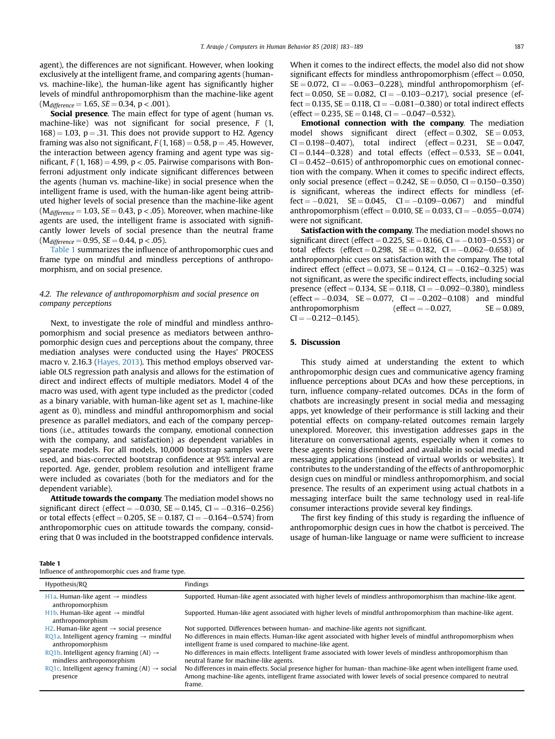agent), the differences are not significant. However, when looking exclusively at the intelligent frame, and comparing agents (humanvs. machine-like), the human-like agent has significantly higher levels of mindful anthropomorphism than the machine-like agent  $(M_{difference} = 1.65, SE = 0.34, p < .001).$ 

Social presence. The main effect for type of agent (human vs. machine-like) was not significant for social presence, F (1,  $168$ ) = 1.03, p = .31. This does not provide support to H2. Agency framing was also not significant,  $F(1, 168) = 0.58$ , p = .45. However, the interaction between agency framing and agent type was significant,  $F(1, 168) = 4.99$ , p < .05. Pairwise comparisons with Bonferroni adjustment only indicate significant differences between the agents (human vs. machine-like) in social presence when the intelligent frame is used, with the human-like agent being attributed higher levels of social presence than the machine-like agent  $(M<sub>difference</sub> = 1.03, SE = 0.43, p < .05)$ . Moreover, when machine-like agents are used, the intelligent frame is associated with significantly lower levels of social presence than the neutral frame  $(M<sub>difference</sub> = 0.95, SE = 0.44, p < .05).$ 

Table 1 summarizes the influence of anthropomorphic cues and frame type on mindful and mindless perceptions of anthropomorphism, and on social presence.

# 4.2. The relevance of anthropomorphism and social presence on company perceptions

Next, to investigate the role of mindful and mindless anthropomorphism and social presence as mediators between anthropomorphic design cues and perceptions about the company, three mediation analyses were conducted using the Hayes' PROCESS macro v. 2.16.3 [\(Hayes, 2013\)](#page-7-0). This method employs observed variable OLS regression path analysis and allows for the estimation of direct and indirect effects of multiple mediators. Model 4 of the macro was used, with agent type included as the predictor (coded as a binary variable, with human-like agent set as 1, machine-like agent as 0), mindless and mindful anthropomorphism and social presence as parallel mediators, and each of the company perceptions (i.e., attitudes towards the company, emotional connection with the company, and satisfaction) as dependent variables in separate models. For all models, 10,000 bootstrap samples were used, and bias-corrected bootstrap confidence at 95% interval are reported. Age, gender, problem resolution and intelligent frame were included as covariates (both for the mediators and for the dependent variable).

Attitude towards the company. The mediation model shows no significant direct (effect =  $-0.030$ , SE = 0.145, CI =  $-0.316 - 0.256$ ) or total effects (effect  $= 0.205$ , SE  $= 0.187$ , CI  $= -0.164 - 0.574$ ) from anthropomorphic cues on attitude towards the company, considering that 0 was included in the bootstrapped confidence intervals.

| When it comes to the indirect effects, the model also did not show        |
|---------------------------------------------------------------------------|
| significant effects for mindless anthropomorphism (effect $= 0.050$ ,     |
| $SE = 0.072$ , $CI = -0.063 - 0.228$ ), mindful anthropomorphism (ef-     |
| fect = 0.050, SE = 0.082, CI = $-0.103-0.217$ ), social presence (ef-     |
| fect = 0.135, SE = 0.118, CI = $-0.081 - 0.380$ or total indirect effects |
| (effect = 0.235, SE = 0.148, CI = $-0.047 - 0.532$ ).                     |

(effect = 0.235, SE = 0.148, CI =  $-0.047-0.532$ ).<br>**Emotional connection with the company**. The mediation model shows significant direct (effect  $= 0.302$ ,  $SE = 0.053$ ,  $CI = 0.198 - 0.407$ , total indirect (effect = 0.231,  $SE = 0.047$ ,  $CI = 0.144 - 0.328$  and total effects (effect = 0.533, SE = 0.041,  $CI = 0.452-0.615$ ) of anthropomorphic cues on emotional connection with the company. When it comes to specific indirect effects, only social presence (effect =  $0.242$ , SE =  $0.050$ , CI =  $0.150-0.350$ ) is significant, whereas the indirect effects for mindless (ef $fect = -0.021$ ,  $SE = 0.045$ ,  $CI = -0.109 - 0.067$  and mindful anthropomorphism (effect = 0.010, SE = 0.033, CI =  $-0.055-0.074$ ) were not significant.

Satisfaction with the company. The mediation model shows no significant direct (effect =  $0.225$ , SE =  $0.166$ , CI =  $-0.103 - 0.553$ ) or total effects (effect  $= 0.298$ ,  $SE = 0.182$ ,  $CI = -0.062 - 0.658$ ) of anthropomorphic cues on satisfaction with the company. The total indirect effect (effect =  $0.073$ , SE =  $0.124$ , CI =  $-0.162-0.325$ ) was not significant, as were the specific indirect effects, including social presence (effect =  $0.134$ , SE =  $0.118$ , CI =  $-0.092-0.380$ ), mindless  $(\text{effect} = -0.034, \text{ SE} = 0.077, \text{ CI} = -0.202 - 0.108) \text{ and mindful}$ anthropomorphism (effect  $= -0.027$ ,  $SE = 0.089$ ,  $CI = -0.212 - 0.145$ ).

## 5. Discussion

This study aimed at understanding the extent to which anthropomorphic design cues and communicative agency framing influence perceptions about DCAs and how these perceptions, in turn, influence company-related outcomes. DCAs in the form of chatbots are increasingly present in social media and messaging apps, yet knowledge of their performance is still lacking and their potential effects on company-related outcomes remain largely unexplored. Moreover, this investigation addresses gaps in the literature on conversational agents, especially when it comes to these agents being disembodied and available in social media and messaging applications (instead of virtual worlds or websites). It contributes to the understanding of the effects of anthropomorphic design cues on mindful or mindless anthropomorphism, and social presence. The results of an experiment using actual chatbots in a messaging interface built the same technology used in real-life consumer interactions provide several key findings.

The first key finding of this study is regarding the influence of anthropomorphic design cues in how the chatbot is perceived. The usage of human-like language or name were sufficient to increase

|--|--|

Influence of anthropomorphic cues and frame type.

| Hypothesis/RQ                                                                    | Findings                                                                                                                                                                                                                                            |
|----------------------------------------------------------------------------------|-----------------------------------------------------------------------------------------------------------------------------------------------------------------------------------------------------------------------------------------------------|
| H <sub>1</sub> a. Human-like agent $\rightarrow$ mindless<br>anthropomorphism    | Supported. Human-like agent associated with higher levels of mindless anthropomorphism than machine-like agent.                                                                                                                                     |
| H <sub>1</sub> b, Human-like agent $\rightarrow$ mindful<br>anthropomorphism     | Supported. Human-like agent associated with higher levels of mindful anthropomorphism than machine-like agent.                                                                                                                                      |
| H2. Human-like agent $\rightarrow$ social presence                               | Not supported. Differences between human- and machine-like agents not significant.                                                                                                                                                                  |
| RQ1a. Intelligent agency framing $\rightarrow$ mindful<br>anthropomorphism       | No differences in main effects. Human-like agent associated with higher levels of mindful anthropomorphism when<br>intelligent frame is used compared to machine-like agent.                                                                        |
| RQ1b. Intelligent agency framing (AI) $\rightarrow$<br>mindless anthropomorphism | No differences in main effects. Intelligent frame associated with lower levels of mindless anthropomorphism than<br>neutral frame for machine-like agents.                                                                                          |
| RQ1c. Intelligent agency framing $(AI) \rightarrow$ social<br>presence           | No differences in main effects. Social presence higher for human-than machine-like agent when intelligent frame used.<br>Among machine-like agents, intelligent frame associated with lower levels of social presence compared to neutral<br>frame. |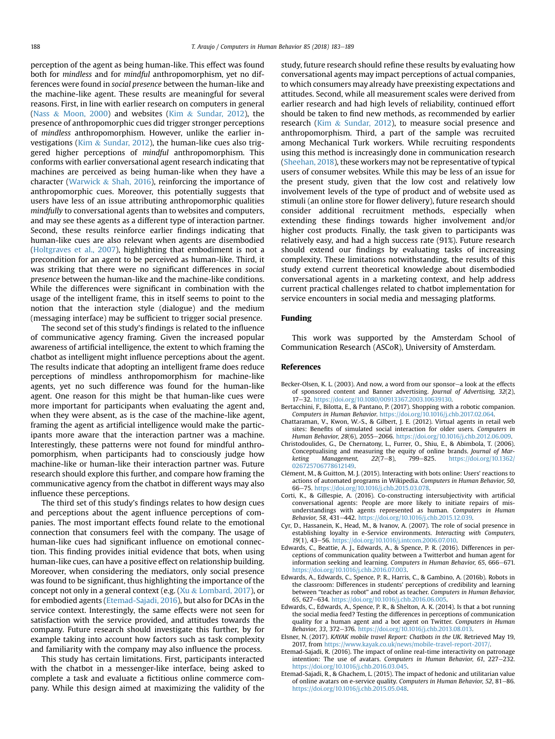<span id="page-6-0"></span>perception of the agent as being human-like. This effect was found both for mindless and for mindful anthropomorphism, yet no differences were found in social presence between the human-like and the machine-like agent. These results are meaningful for several reasons. First, in line with earlier research on computers in general ([Nass](#page-7-0) & [Moon, 2000\)](#page-7-0) and websites [\(Kim](#page-7-0) & [Sundar, 2012](#page-7-0)), the presence of anthropomorphic cues did trigger stronger perceptions of mindless anthropomorphism. However, unlike the earlier investigations ([Kim](#page-7-0) & [Sundar, 2012\)](#page-7-0), the human-like cues also triggered higher perceptions of mindful anthropomorphism. This conforms with earlier conversational agent research indicating that machines are perceived as being human-like when they have a character [\(Warwick](#page-7-0) & [Shah, 2016](#page-7-0)), reinforcing the importance of anthropomorphic cues. Moreover, this potentially suggests that users have less of an issue attributing anthropomorphic qualities mindfully to conversational agents than to websites and computers, and may see these agents as a different type of interaction partner. Second, these results reinforce earlier findings indicating that human-like cues are also relevant when agents are disembodied ([Holtgraves et al., 2007](#page-7-0)), highlighting that embodiment is not a precondition for an agent to be perceived as human-like. Third, it was striking that there were no significant differences in social presence between the human-like and the machine-like conditions. While the differences were significant in combination with the usage of the intelligent frame, this in itself seems to point to the notion that the interaction style (dialogue) and the medium (messaging interface) may be sufficient to trigger social presence.

The second set of this study's findings is related to the influence of communicative agency framing. Given the increased popular awareness of artificial intelligence, the extent to which framing the chatbot as intelligent might influence perceptions about the agent. The results indicate that adopting an intelligent frame does reduce perceptions of mindless anthropomorphism for machine-like agents, yet no such difference was found for the human-like agent. One reason for this might be that human-like cues were more important for participants when evaluating the agent and, when they were absent, as is the case of the machine-like agent, framing the agent as artificial intelligence would make the participants more aware that the interaction partner was a machine. Interestingly, these patterns were not found for mindful anthropomorphism, when participants had to consciously judge how machine-like or human-like their interaction partner was. Future research should explore this further, and compare how framing the communicative agency from the chatbot in different ways may also influence these perceptions.

The third set of this study's findings relates to how design cues and perceptions about the agent influence perceptions of companies. The most important effects found relate to the emotional connection that consumers feel with the company. The usage of human-like cues had significant influence on emotional connection. This finding provides initial evidence that bots, when using human-like cues, can have a positive effect on relationship building. Moreover, when considering the mediators, only social presence was found to be significant, thus highlighting the importance of the concept not only in a general context (e.g. [\(Xu](#page-7-0) & [Lombard, 2017](#page-7-0)), or for embodied agents (Etemad-Sajadi, 2016), but also for DCAs in the service context. Interestingly, the same effects were not seen for satisfaction with the service provided, and attitudes towards the company. Future research should investigate this further, by for example taking into account how factors such as task complexity and familiarity with the company may also influence the process.

This study has certain limitations. First, participants interacted with the chatbot in a messenger-like interface, being asked to complete a task and evaluate a fictitious online commerce company. While this design aimed at maximizing the validity of the study, future research should refine these results by evaluating how conversational agents may impact perceptions of actual companies, to which consumers may already have preexisting expectations and attitudes. Second, while all measurement scales were derived from earlier research and had high levels of reliability, continued effort should be taken to find new methods, as recommended by earlier research [\(Kim](#page-7-0) & [Sundar, 2012](#page-7-0)), to measure social presence and anthropomorphism. Third, a part of the sample was recruited among Mechanical Turk workers. While recruiting respondents using this method is increasingly done in communication research ([Sheehan, 2018\)](#page-7-0), these workers may not be representative of typical users of consumer websites. While this may be less of an issue for the present study, given that the low cost and relatively low involvement levels of the type of product and of website used as stimuli (an online store for flower delivery), future research should consider additional recruitment methods, especially when extending these findings towards higher involvement and/or higher cost products. Finally, the task given to participants was relatively easy, and had a high success rate (91%). Future research should extend our findings by evaluating tasks of increasing complexity. These limitations notwithstanding, the results of this study extend current theoretical knowledge about disembodied conversational agents in a marketing context, and help address current practical challenges related to chatbot implementation for service encounters in social media and messaging platforms.

# Funding

This work was supported by the Amsterdam School of Communication Research (ASCoR), University of Amsterdam.

### References

- Becker-Olsen, K. L. (2003). And now, a word from our sponsor-a look at the effects of sponsored content and Banner advertising. Journal of Advertising, 32(2), 17-32. [https://doi.org/10.1080/00913367.2003.10639130.](https://doi.org/10.1080/00913367.2003.10639130)
- Bertacchini, F., Bilotta, E., & Pantano, P. (2017). Shopping with a robotic companion. Computers in Human Behavior. <https://doi.org/10.1016/j.chb.2017.02.064>.
- Chattaraman, V., Kwon, W.-S., & Gilbert, J. E. (2012). Virtual agents in retail web sites: Benefits of simulated social interaction for older users. Computers in Human Behavior, 28(6), 2055-2066. [https://doi.org/10.1016/j.chb.2012.06.009.](https://doi.org/10.1016/j.chb.2012.06.009)
- Christodoulides, G., De Chernatony, L., Furrer, O., Shiu, E., & Abimbola, T. (2006). Conceptualising and measuring the equity of online brands. Journal of Marketing Management, 22(7-8), 799-825. [https://doi.org/10.1362/](https://doi.org/10.1362/026725706778612149) [026725706778612149](https://doi.org/10.1362/026725706778612149).
- Clement, M., & Guitton, M. J. (2015). Interacting with bots online: Users' reactions to actions of automated programs in Wikipedia. Computers in Human Behavior, 50, 66e75. [https://doi.org/10.1016/j.chb.2015.03.078.](https://doi.org/10.1016/j.chb.2015.03.078)
- Corti, K., & Gillespie, A. (2016). Co-constructing intersubjectivity with artificial conversational agents: People are more likely to initiate repairs of misunderstandings with agents represented as human. Computers in Human Behavior, 58, 431-442. [https://doi.org/10.1016/j.chb.2015.12.039.](https://doi.org/10.1016/j.chb.2015.12.039)
- Cyr, D., Hassanein, K., Head, M., & Ivanov, A. (2007). The role of social presence in establishing loyalty in e-Service environments. Interacting with Computers, 19(1), 43-56. [https://doi.org/10.1016/j.intcom.2006.07.010.](https://doi.org/10.1016/j.intcom.2006.07.010)
- Edwards, C., Beattie, A. J., Edwards, A., & Spence, P. R. (2016). Differences in perceptions of communication quality between a Twitterbot and human agent for information seeking and learning. Computers in Human Behavior, 65, 666–671. <https://doi.org/10.1016/j.chb.2016.07.003>.
- Edwards, A., Edwards, C., Spence, P. R., Harris, C., & Gambino, A. (2016b). Robots in the classroom: Differences in students' perceptions of credibility and learning between "teacher as robot" and robot as teacher. Computers in Human Behavior, 65, 627-634. <https://doi.org/10.1016/j.chb.2016.06.005>
- Edwards, C., Edwards, A., Spence, P. R., & Shelton, A. K. (2014). Is that a bot running the social media feed? Testing the differences in perceptions of communication quality for a human agent and a bot agent on Twitter. Computers in Human Behavior, 33, 372-376. [https://doi.org/10.1016/j.chb.2013.08.013.](https://doi.org/10.1016/j.chb.2013.08.013)
- Elsner, N. (2017). KAYAK mobile travel Report: Chatbots in the UK. Retrieved May 19, 2017, from [https://www.kayak.co.uk/news/mobile-travel-report-2017/.](https://www.kayak.co.uk/news/mobile-travel-report-2017/)
- Etemad-Sajadi, R. (2016). The impact of online real-time interactivity on patronage intention: The use of avatars. Computers in Human Behavior, 61, 227-232. [https://doi.org/10.1016/j.chb.2016.03.045.](https://doi.org/10.1016/j.chb.2016.03.045)
- Etemad-Sajadi, R., & Ghachem, L. (2015). The impact of hedonic and utilitarian value of online avatars on e-service quality. Computers in Human Behavior, 52, 81-86. [https://doi.org/10.1016/j.chb.2015.05.048.](https://doi.org/10.1016/j.chb.2015.05.048)